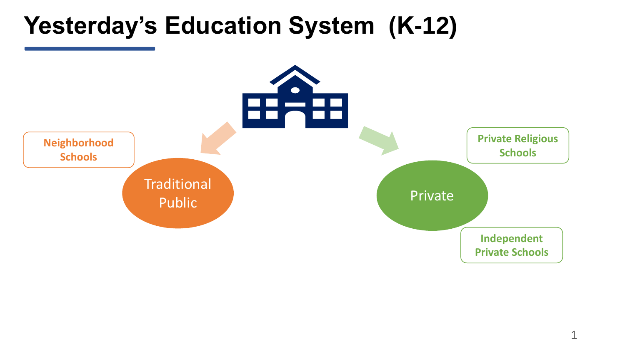### **Yesterday's Education System (K-12)**

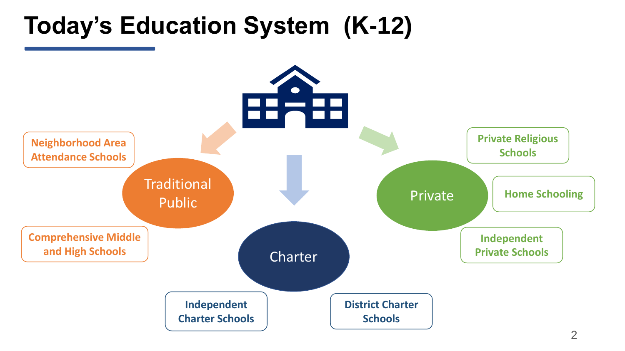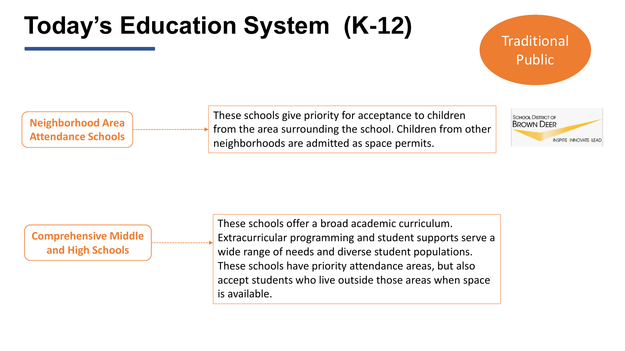#### **Traditional** Public

**Neighborhood Area Attendance Schools** These schools give priority for acceptance to children from the area surrounding the school. Children from other neighborhoods are admitted as space permits.



#### **Comprehensive Middle and High Schools**

These schools offer a broad academic curriculum. Extracurricular programming and student supports serve a wide range of needs and diverse student populations. These schools have priority attendance areas, but also accept students who live outside those areas when space is available.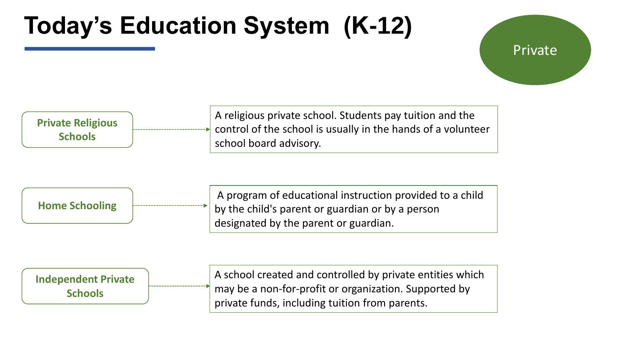#### Private

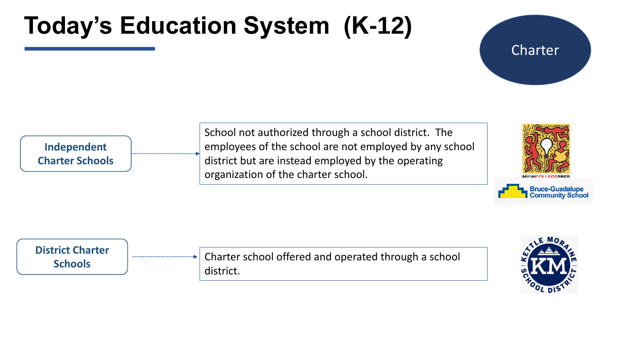#### Charter

**Independent Charter Schools** School not authorized through a school district. The employees of the school are not employed by any school district but are instead employed by the operating organization of the charter school.





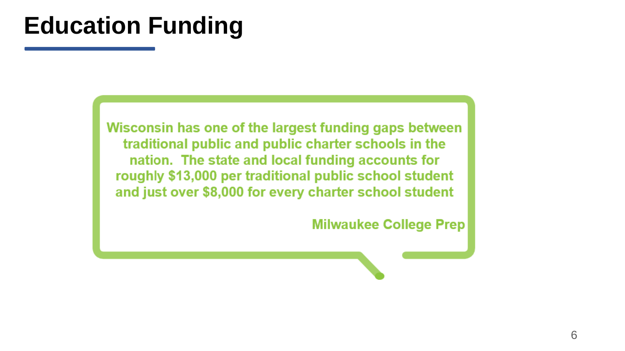### **Education Funding**

Wisconsin has one of the largest funding gaps between traditional public and public charter schools in the<br>nation. The state and local funding accounts for roughly \$13,000 per traditional public school student and just over \$8,000 for every charter school student

**Milwaukee College Prep**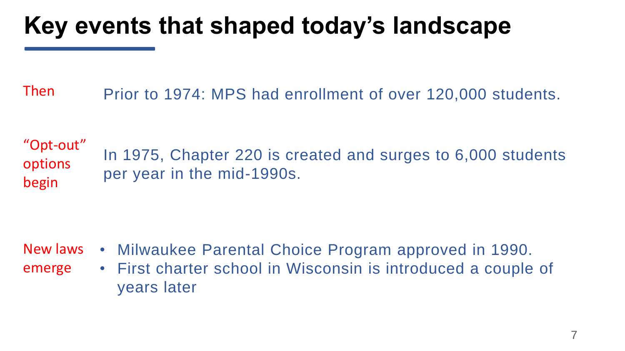# **Key events that shaped today's landscape**

Then Prior to 1974: MPS had enrollment of over 120,000 students.

In 1975, Chapter 220 is created and surges to 6,000 students per year in the mid-1990s. "Opt-out" options begin

- New laws
- emerge
- Milwaukee Parental Choice Program approved in 1990.
- First charter school in Wisconsin is introduced a couple of years later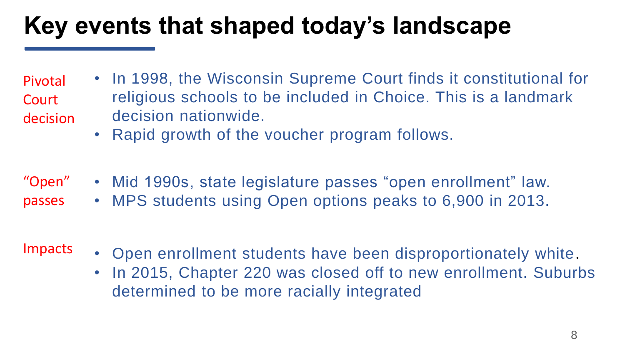# **Key events that shaped today's landscape**

• In 1998, the Wisconsin Supreme Court finds it constitutional for religious schools to be included in Choice. This is a landmark decision nationwide. Pivotal **Court** decision

- Rapid growth of the voucher program follows.
- Mid 1990s, state legislature passes "open enrollment" law. • MPS students using Open options peaks to 6,900 in 2013. "Open" passes
- Impacts
- Open enrollment students have been disproportionately white.
- In 2015, Chapter 220 was closed off to new enrollment. Suburbs determined to be more racially integrated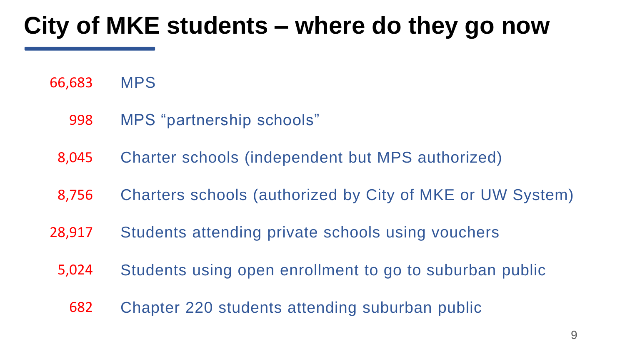# **City of MKE students – where do they go now**

MPS 66,683

- MPS "partnership schools" 998
- Charter schools (independent but MPS authorized) 8,045
- Charters schools (authorized by City of MKE or UW System) 8,756
- Students attending private schools using vouchers 28,917
	- Students using open enrollment to go to suburban public 5,024
		- Chapter 220 students attending suburban public 682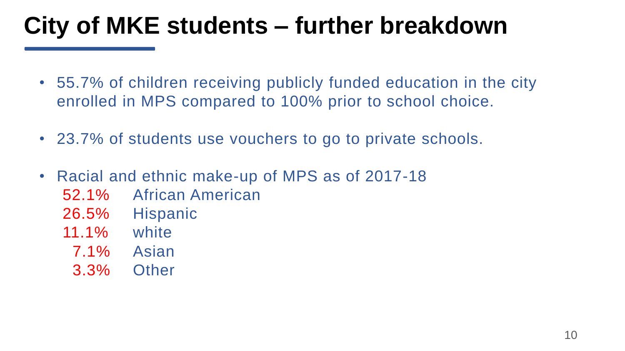# **City of MKE students – further breakdown**

- 55.7% of children receiving publicly funded education in the city enrolled in MPS compared to 100% prior to school choice.
- 23.7% of students use vouchers to go to private schools.
- Racial and ethnic make-up of MPS as of 2017-18
	- 52.1% African American
	- 26.5% Hispanic
	- 11.1% white
		- 7.1% Asian
		- 3.3% Other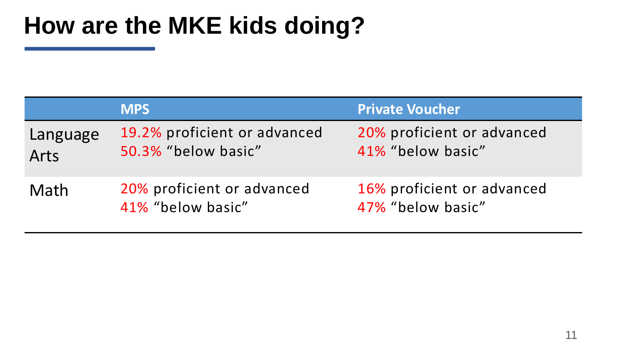# **How are the MKE kids doing?**

|                  | <b>MPS</b>                                          | <b>Private Voucher</b>                          |
|------------------|-----------------------------------------------------|-------------------------------------------------|
| Language<br>Arts | 19.2% proficient or advanced<br>50.3% "below basic" | 20% proficient or advanced<br>41% "below basic" |
| Math             | 20% proficient or advanced<br>41% "below basic"     | 16% proficient or advanced<br>47% "below basic" |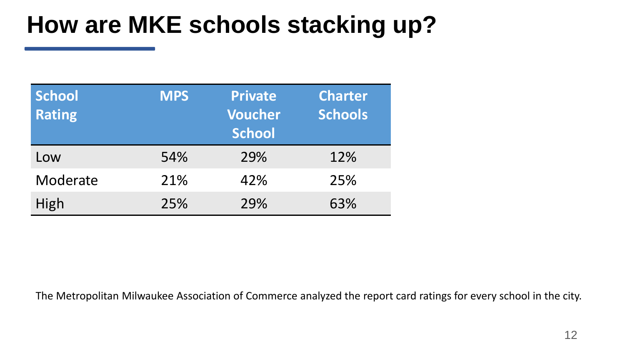# **How are MKE schools stacking up?**

| <b>School</b><br><b>Rating</b> | <b>MPS</b> | <b>Private</b><br><b>Voucher</b><br><b>School</b> | <b>Charter</b><br><b>Schools</b> |
|--------------------------------|------------|---------------------------------------------------|----------------------------------|
| Low                            | 54%        | 29%                                               | 12%                              |
| Moderate                       | 21%        | 42%                                               | 25%                              |
| High                           | 25%        | 29%                                               | 63%                              |

The Metropolitan Milwaukee Association of Commerce analyzed the report card ratings for every school in the city.